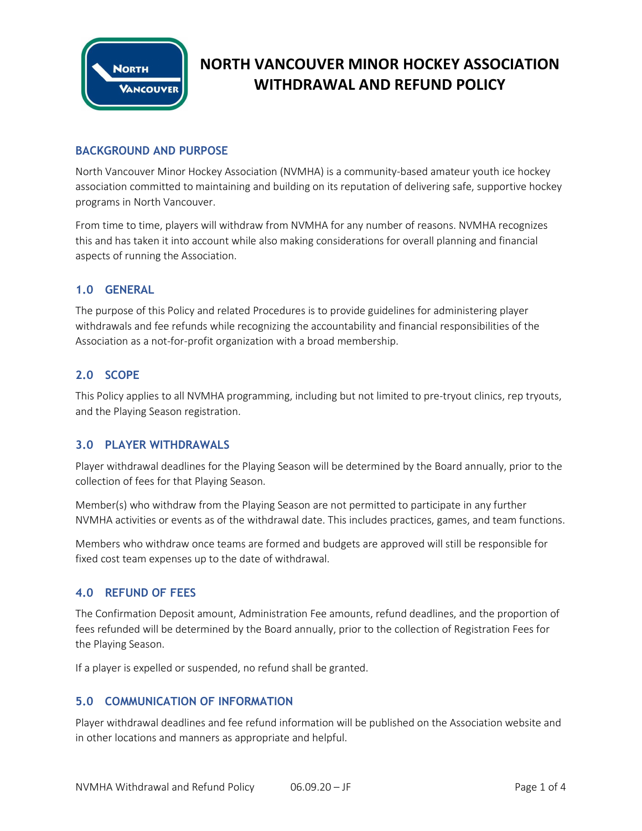

# **NORTH VANCOUVER MINOR HOCKEY ASSOCIATION WITHDRAWAL AND REFUND POLICY**

## **BACKGROUND AND PURPOSE**

North Vancouver Minor Hockey Association (NVMHA) is a community-based amateur youth ice hockey association committed to maintaining and building on its reputation of delivering safe, supportive hockey programs in North Vancouver.

From time to time, players will withdraw from NVMHA for any number of reasons. NVMHA recognizes this and has taken it into account while also making considerations for overall planning and financial aspects of running the Association.

#### **1.0 GENERAL**

The purpose of this Policy and related Procedures is to provide guidelines for administering player withdrawals and fee refunds while recognizing the accountability and financial responsibilities of the Association as a not-for-profit organization with a broad membership.

#### **2.0 SCOPE**

This Policy applies to all NVMHA programming, including but not limited to pre-tryout clinics, rep tryouts, and the Playing Season registration.

#### **3.0 PLAYER WITHDRAWALS**

Player withdrawal deadlines for the Playing Season will be determined by the Board annually, prior to the collection of fees for that Playing Season.

Member(s) who withdraw from the Playing Season are not permitted to participate in any further NVMHA activities or events as of the withdrawal date. This includes practices, games, and team functions.

Members who withdraw once teams are formed and budgets are approved will still be responsible for fixed cost team expenses up to the date of withdrawal.

## **4.0 REFUND OF FEES**

The Confirmation Deposit amount, Administration Fee amounts, refund deadlines, and the proportion of fees refunded will be determined by the Board annually, prior to the collection of Registration Fees for the Playing Season.

If a player is expelled or suspended, no refund shall be granted.

#### **5.0 COMMUNICATION OF INFORMATION**

Player withdrawal deadlines and fee refund information will be published on the Association website and in other locations and manners as appropriate and helpful.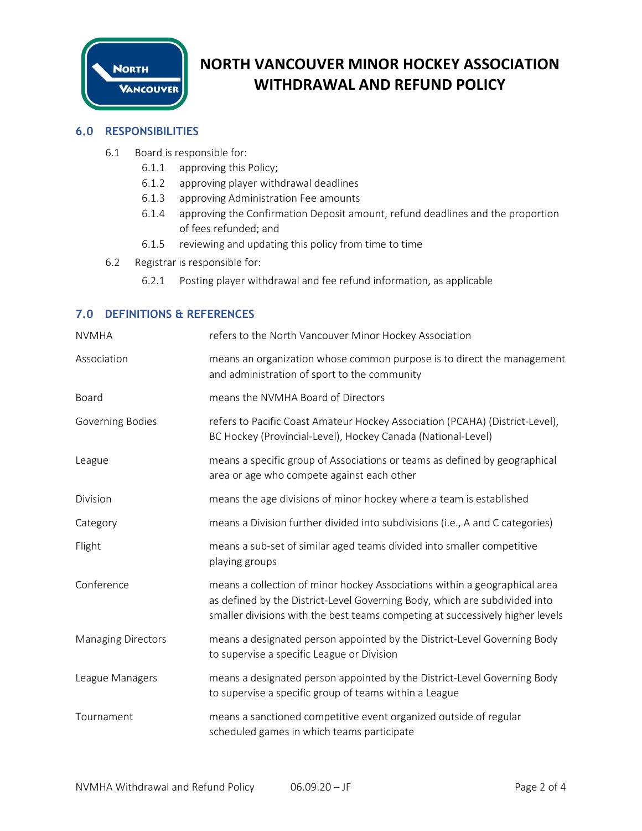

# **NORTH VANCOUVER MINOR HOCKEY ASSOCIATION WITHDRAWAL AND REFUND POLICY**

#### **6.0 RESPONSIBILITIES**

- 6.1 Board is responsible for:
	- 6.1.1 approving this Policy;
	- 6.1.2 approving player withdrawal deadlines
	- 6.1.3 approving Administration Fee amounts
	- 6.1.4 approving the Confirmation Deposit amount, refund deadlines and the proportion of fees refunded; and
	- 6.1.5 reviewing and updating this policy from time to time
- 6.2 Registrar is responsible for:
	- 6.2.1 Posting player withdrawal and fee refund information, as applicable

## **7.0 DEFINITIONS & REFERENCES**

| <b>NVMHA</b>              | refers to the North Vancouver Minor Hockey Association                                                                                                                                                                                    |  |
|---------------------------|-------------------------------------------------------------------------------------------------------------------------------------------------------------------------------------------------------------------------------------------|--|
| Association               | means an organization whose common purpose is to direct the management<br>and administration of sport to the community                                                                                                                    |  |
| Board                     | means the NVMHA Board of Directors                                                                                                                                                                                                        |  |
| Governing Bodies          | refers to Pacific Coast Amateur Hockey Association (PCAHA) (District-Level),<br>BC Hockey (Provincial-Level), Hockey Canada (National-Level)                                                                                              |  |
| League                    | means a specific group of Associations or teams as defined by geographical<br>area or age who compete against each other                                                                                                                  |  |
| Division                  | means the age divisions of minor hockey where a team is established                                                                                                                                                                       |  |
| Category                  | means a Division further divided into subdivisions (i.e., A and C categories)                                                                                                                                                             |  |
| Flight                    | means a sub-set of similar aged teams divided into smaller competitive<br>playing groups                                                                                                                                                  |  |
| Conference                | means a collection of minor hockey Associations within a geographical area<br>as defined by the District-Level Governing Body, which are subdivided into<br>smaller divisions with the best teams competing at successively higher levels |  |
| <b>Managing Directors</b> | means a designated person appointed by the District-Level Governing Body<br>to supervise a specific League or Division                                                                                                                    |  |
| League Managers           | means a designated person appointed by the District-Level Governing Body<br>to supervise a specific group of teams within a League                                                                                                        |  |
| Tournament                | means a sanctioned competitive event organized outside of regular<br>scheduled games in which teams participate                                                                                                                           |  |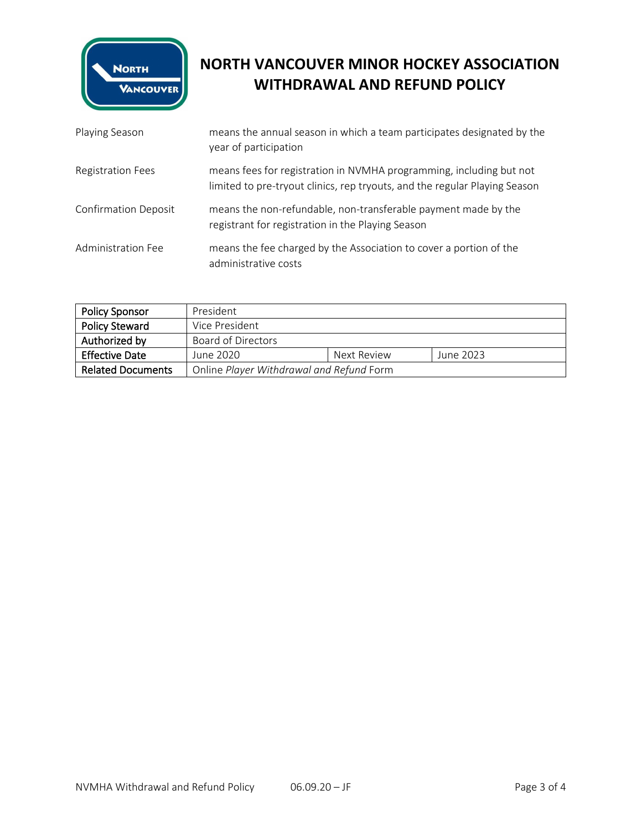

# **NORTH VANCOUVER MINOR HOCKEY ASSOCIATION WITHDRAWAL AND REFUND POLICY**

| Playing Season              | means the annual season in which a team participates designated by the<br>year of participation                                                   |
|-----------------------------|---------------------------------------------------------------------------------------------------------------------------------------------------|
| <b>Registration Fees</b>    | means fees for registration in NVMHA programming, including but not<br>limited to pre-tryout clinics, rep tryouts, and the regular Playing Season |
| <b>Confirmation Deposit</b> | means the non-refundable, non-transferable payment made by the<br>registrant for registration in the Playing Season                               |
| Administration Fee          | means the fee charged by the Association to cover a portion of the<br>administrative costs                                                        |

| <b>Policy Sponsor</b>    | President                                |             |           |
|--------------------------|------------------------------------------|-------------|-----------|
| <b>Policy Steward</b>    | Vice President                           |             |           |
| Authorized by            | Board of Directors                       |             |           |
| <b>Effective Date</b>    | June 2020                                | Next Review | June 2023 |
| <b>Related Documents</b> | Online Player Withdrawal and Refund Form |             |           |